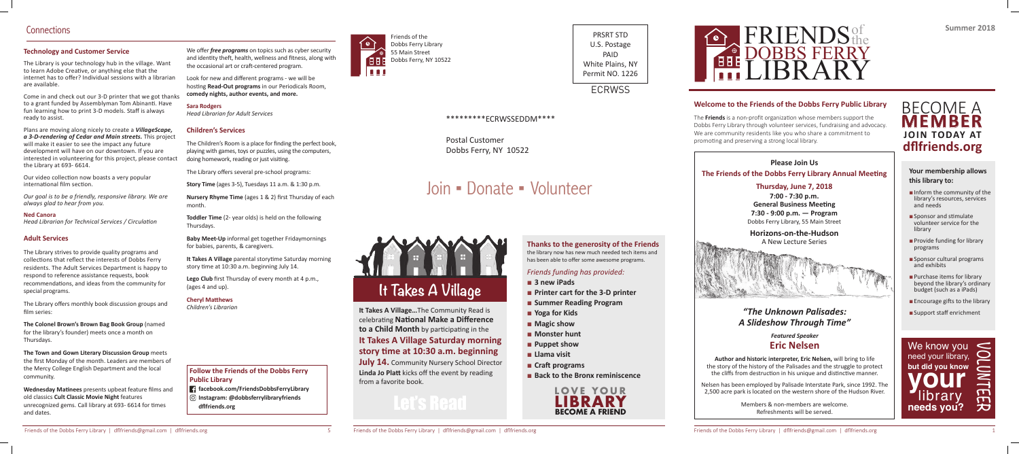

**to a Child Month** by participating in the

### **It Takes A Village Saturday morning**  story time at 10:30 a.m. beginning

**July 14.** Community Nursery School Director **Linda Jo Platt** kicks off the event by reading from a favorite book.

#### **Thanks to the generosity of the Friends** the library now has new much needed tech items and has been able to offer some awesome programs.

- **3 new iPads**
- **Printer cart for the 3-D printer**
- **Summer Reading Program**
- **Yoga for Kids**
- **Magic show**
- **Monster hunt**
- **Puppet show**
- **Llama visit**
- **Craft programs**
- Back to the Bronx reminiscence

Friends of the Dobbs Ferry Library 55 Main Street Dobbs Ferry, NY 10522

PRSRT STD U.S. Postage PAID White Plains, NY Permit NO. 1226

**ECRWSS** 

#### *Friends funding has provided:*

#### **Your membership allows this library to:**

- Inform the community of the library's resources, services and needs
- Sponsor and stimulate volunteer service for the library
- Provide funding for library programs
- Sponsor cultural programs and exhibits
- Purchase items for library beyond the library's ordinary budget (such as a iPads)
- $\blacksquare$  Encourage gifts to the library
- Support staff enrichment

#### **Please Join Us The Friends of the Dobbs Ferry Library Annual Meeting**

**Author and historic interpreter, Eric Nelsen,** will bring to life the story of the history of the Palisades and the struggle to protect the cliffs from destruction in his unique and distinctive manner.











**Summer 2018**

#### **Welcome to the Friends of the Dobbs Ferry Public Library**

The **Friends** is a non-profit organization whose members support the Dobbs Ferry Library through volunteer services, fundraising and advocacy. We are community residents like you who share a commitment to promoting and preserving a strong local library.

# Join ▪ Donate ▪ Volunteer

**Thursday, June 7, 2018 7:00 - 7:30 p.m. General Business Meeting 7:30 - 9:00 p.m. — Program** Dobbs Ferry Library, 55 Main Street

**Horizons-on-the-Hudson**  A New Lecture Series



### *"The Unknown Palisades: A Slideshow Through Time"*

*Featured Speaker* **Eric Nelsen**

### BECOME A **MEMBER JOIN TODAY AT dfl friends.org**

**Wednesday Matinees** presents upbeat feature films and old classics **Cult Classic Movie Night** features unrecognized gems. Call library at 693-6614 for times and dates.

Nelsen has been employed by Palisade Interstate Park, since 1992. The 2,500 acre park is located on the western shore of the Hudson River.

We offer *free programs* on topics such as cyber security and identity theft, health, wellness and fitness, along with the occasional art or craft -centered program.

Look for new and different programs - we will be hosting **Read-Out programs** in our Periodicals Room, **comedy nights, author events, and more.**

> Members & non-members are welcome. Refreshments will be served.

**Nursery Rhyme Time** (ages 1 & 2) first Thursday of each month.



**Lego Club** first Thursday of every month at 4 p.m., (ages 4 and up).

#### **Technology and Customer Service**

**Cheryl Matthews** *Children's Librarian*

The Library is your technology hub in the village. Want to learn Adobe Creative, or anything else that the internet has to offer? Individual sessions with a librarian are available.

Come in and check out our 3-D printer that we got thanks to a grant funded by Assemblyman Tom Abinanti. Have fun learning how to print 3-D models. Staff is always ready to assist.

Plans are moving along nicely to create a *VillageScape, a 3-D-rendering of Cedar and Main streets.* This project will make it easier to see the impact any future development will have on our downtown. If you are interested in volunteering for this project, please contact the Library at 693- 6614.

Our video collection now boasts a very popular international film section.

*Our goal is to be a friendly, responsive library. We are always glad to hear from you.*

#### **Ned Canora**

*Head Librarian for Technical Services / Circulation* 

#### **Adult Services**

The Library strives to provide quality programs and collections that reflect the interests of Dobbs Ferry residents. The Adult Services Department is happy to respond to reference assistance requests, book recommendations, and ideas from the community for special programs.

The Library offers monthly book discussion groups and film series:

**The Colonel Brown's Brown Bag Book Group** (named for the library's founder) meets once a month on Thursdays.

**The Town and Gown Literary Discussion Group** meets the first Monday of the month. Leaders are members of the Mercy College English Department and the local community.

#### **Sara Rodgers**

*Head Librarian for Adult Services* 

#### **Children's Services**

The Children's Room is a place for finding the perfect book, playing with games, toys or puzzles, using the computers, doing homework, reading or just visiting.

The Library offers several pre-school programs:

**Story Time** (ages 3-5), Tuesdays 11 a.m. & 1:30 p.m.

**Toddler Time** (2- year olds) is held on the following Thursdays.

**Baby Meet-Up** informal get together Fridaymornings for babies, parents, & caregivers.

**It Takes A Village** parental storytime Saturday morning story time at 10:30 a.m. beginning July 14.

#### **Follow the Friends of the Dobbs Ferry Public Library**

- **facebook.com/FriendsDobbsFerryLibrary**
- **Instagram: @dobbsferrylibraryfriends dfl friends.org**



#### \*\*\*\*\*\*\*\*\*ECRWSSEDDM\*\*\*\*

Postal Customer Dobbs Ferry, NY 10522